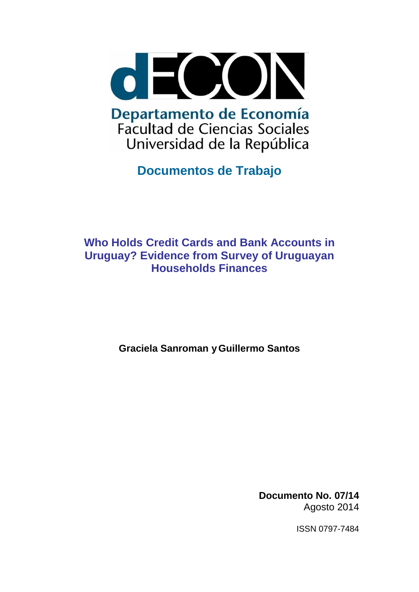

**Documentos de Trabajo**

# **Who Holds Credit Cards and Bank Accounts in Uruguay? Evidence from Survey of Uruguayan Households Finances**

**Graciela Sanroman yGuillermo Santos**

**Documento No. 07/14** Agosto 2014

ISSN 0797-7484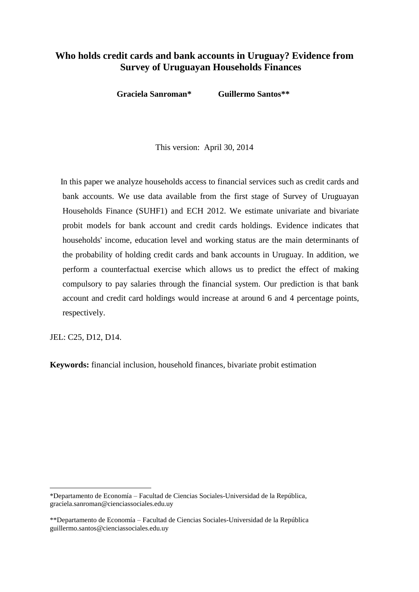## **Who holds credit cards and bank accounts in Uruguay? Evidence from Survey of Uruguayan Households Finances**

**Graciela Sanroman\* Guillermo Santos\*\***<sup>1</sup>

This version: April 30, 2014

 In this paper we analyze households access to financial services such as credit cards and bank accounts. We use data available from the first stage of Survey of Uruguayan Households Finance (SUHF1) and ECH 2012. We estimate univariate and bivariate probit models for bank account and credit cards holdings. Evidence indicates that households' income, education level and working status are the main determinants of the probability of holding credit cards and bank accounts in Uruguay. In addition, we perform a counterfactual exercise which allows us to predict the effect of making compulsory to pay salaries through the financial system. Our prediction is that bank account and credit card holdings would increase at around 6 and 4 percentage points, respectively.

JEL: C25, D12, D14.

 $\overline{a}$ 

**Keywords:** financial inclusion, household finances, bivariate probit estimation

<sup>\*</sup>Departamento de Economía – Facultad de Ciencias Sociales-Universidad de la República, graciela.sanroman@cienciassociales.edu.uy

<sup>\*\*</sup>Departamento de Economía – Facultad de Ciencias Sociales-Universidad de la República guillermo.santos@cienciassociales.edu.uy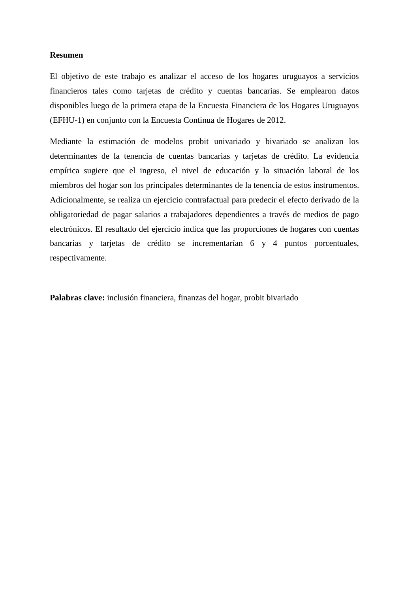#### **Resumen**

El objetivo de este trabajo es analizar el acceso de los hogares uruguayos a servicios financieros tales como tarjetas de crédito y cuentas bancarias. Se emplearon datos disponibles luego de la primera etapa de la Encuesta Financiera de los Hogares Uruguayos (EFHU-1) en conjunto con la Encuesta Continua de Hogares de 2012.

Mediante la estimación de modelos probit univariado y bivariado se analizan los determinantes de la tenencia de cuentas bancarias y tarjetas de crédito. La evidencia empírica sugiere que el ingreso, el nivel de educación y la situación laboral de los miembros del hogar son los principales determinantes de la tenencia de estos instrumentos. Adicionalmente, se realiza un ejercicio contrafactual para predecir el efecto derivado de la obligatoriedad de pagar salarios a trabajadores dependientes a través de medios de pago electrónicos. El resultado del ejercicio indica que las proporciones de hogares con cuentas bancarias y tarjetas de crédito se incrementarían 6 y 4 puntos porcentuales, respectivamente.

**Palabras clave:** inclusión financiera, finanzas del hogar, probit bivariado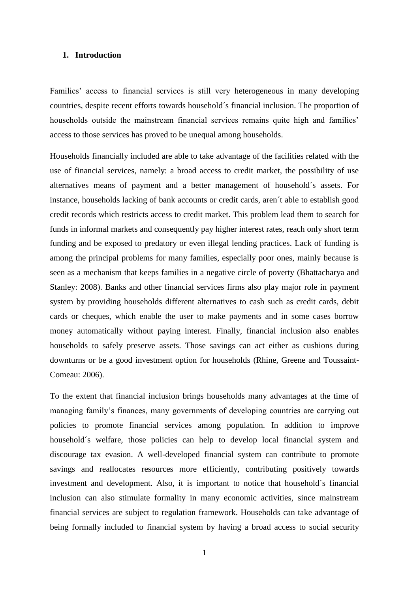#### **1. Introduction**

Families' access to financial services is still very heterogeneous in many developing countries, despite recent efforts towards household´s financial inclusion. The proportion of households outside the mainstream financial services remains quite high and families' access to those services has proved to be unequal among households.

Households financially included are able to take advantage of the facilities related with the use of financial services, namely: a broad access to credit market, the possibility of use alternatives means of payment and a better management of household´s assets. For instance, households lacking of bank accounts or credit cards, aren´t able to establish good credit records which restricts access to credit market. This problem lead them to search for funds in informal markets and consequently pay higher interest rates, reach only short term funding and be exposed to predatory or even illegal lending practices. Lack of funding is among the principal problems for many families, especially poor ones, mainly because is seen as a mechanism that keeps families in a negative circle of poverty (Bhattacharya and Stanley: 2008). Banks and other financial services firms also play major role in payment system by providing households different alternatives to cash such as credit cards, debit cards or cheques, which enable the user to make payments and in some cases borrow money automatically without paying interest. Finally, financial inclusion also enables households to safely preserve assets. Those savings can act either as cushions during downturns or be a good investment option for households (Rhine, Greene and Toussaint-Comeau: 2006).

To the extent that financial inclusion brings households many advantages at the time of managing family's finances, many governments of developing countries are carrying out policies to promote financial services among population. In addition to improve household's welfare, those policies can help to develop local financial system and discourage tax evasion. A well-developed financial system can contribute to promote savings and reallocates resources more efficiently, contributing positively towards investment and development. Also, it is important to notice that household´s financial inclusion can also stimulate formality in many economic activities, since mainstream financial services are subject to regulation framework. Households can take advantage of being formally included to financial system by having a broad access to social security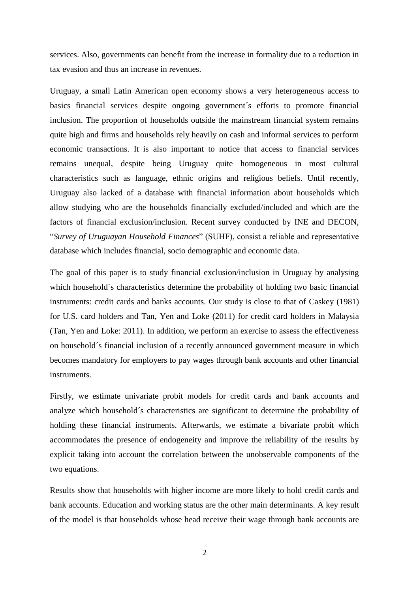services. Also, governments can benefit from the increase in formality due to a reduction in tax evasion and thus an increase in revenues.

Uruguay, a small Latin American open economy shows a very heterogeneous access to basics financial services despite ongoing government´s efforts to promote financial inclusion. The proportion of households outside the mainstream financial system remains quite high and firms and households rely heavily on cash and informal services to perform economic transactions. It is also important to notice that access to financial services remains unequal, despite being Uruguay quite homogeneous in most cultural characteristics such as language, ethnic origins and religious beliefs. Until recently, Uruguay also lacked of a database with financial information about households which allow studying who are the households financially excluded/included and which are the factors of financial exclusion/inclusion. Recent survey conducted by INE and DECON, "*Survey of Uruguayan Household Finances*" (SUHF), consist a reliable and representative database which includes financial, socio demographic and economic data.

The goal of this paper is to study financial exclusion/inclusion in Uruguay by analysing which household´s characteristics determine the probability of holding two basic financial instruments: credit cards and banks accounts. Our study is close to that of Caskey (1981) for U.S. card holders and Tan, Yen and Loke (2011) for credit card holders in Malaysia (Tan, Yen and Loke: 2011). In addition, we perform an exercise to assess the effectiveness on household´s financial inclusion of a recently announced government measure in which becomes mandatory for employers to pay wages through bank accounts and other financial instruments.

Firstly, we estimate univariate probit models for credit cards and bank accounts and analyze which household´s characteristics are significant to determine the probability of holding these financial instruments. Afterwards, we estimate a bivariate probit which accommodates the presence of endogeneity and improve the reliability of the results by explicit taking into account the correlation between the unobservable components of the two equations.

Results show that households with higher income are more likely to hold credit cards and bank accounts. Education and working status are the other main determinants. A key result of the model is that households whose head receive their wage through bank accounts are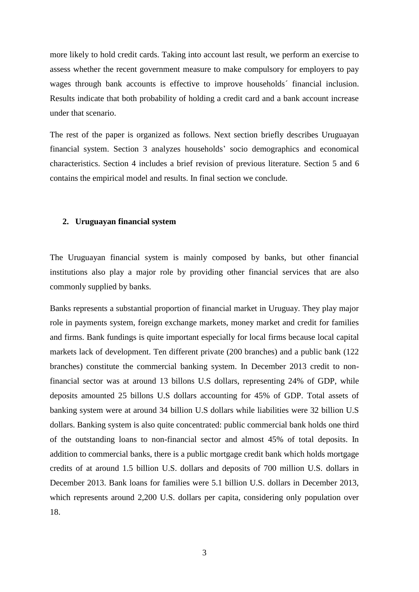more likely to hold credit cards. Taking into account last result, we perform an exercise to assess whether the recent government measure to make compulsory for employers to pay wages through bank accounts is effective to improve households´ financial inclusion. Results indicate that both probability of holding a credit card and a bank account increase under that scenario.

The rest of the paper is organized as follows. Next section briefly describes Uruguayan financial system. Section 3 analyzes households' socio demographics and economical characteristics. Section 4 includes a brief revision of previous literature. Section 5 and 6 contains the empirical model and results. In final section we conclude.

#### **2. Uruguayan financial system**

The Uruguayan financial system is mainly composed by banks, but other financial institutions also play a major role by providing other financial services that are also commonly supplied by banks.

Banks represents a substantial proportion of financial market in Uruguay. They play major role in payments system, foreign exchange markets, money market and credit for families and firms. Bank fundings is quite important especially for local firms because local capital markets lack of development. Ten different private (200 branches) and a public bank (122 branches) constitute the commercial banking system. In December 2013 credit to nonfinancial sector was at around 13 billons U.S dollars, representing 24% of GDP, while deposits amounted 25 billons U.S dollars accounting for 45% of GDP. Total assets of banking system were at around 34 billion U.S dollars while liabilities were 32 billion U.S dollars. Banking system is also quite concentrated: public commercial bank holds one third of the outstanding loans to non-financial sector and almost 45% of total deposits. In addition to commercial banks, there is a public mortgage credit bank which holds mortgage credits of at around 1.5 billion U.S. dollars and deposits of 700 million U.S. dollars in December 2013. Bank loans for families were 5.1 billion U.S. dollars in December 2013, which represents around 2,200 U.S. dollars per capita, considering only population over 18.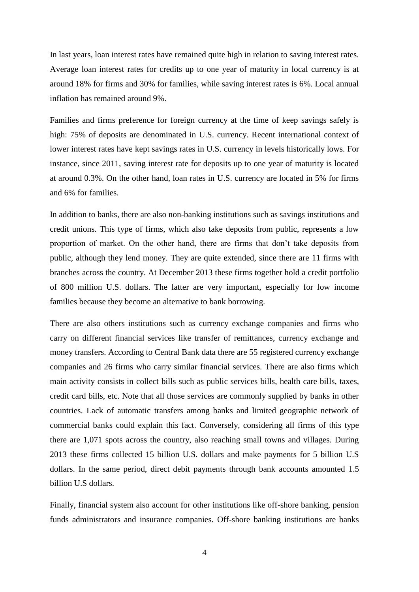In last years, loan interest rates have remained quite high in relation to saving interest rates. Average loan interest rates for credits up to one year of maturity in local currency is at around 18% for firms and 30% for families, while saving interest rates is 6%. Local annual inflation has remained around 9%.

Families and firms preference for foreign currency at the time of keep savings safely is high: 75% of deposits are denominated in U.S. currency. Recent international context of lower interest rates have kept savings rates in U.S. currency in levels historically lows. For instance, since 2011, saving interest rate for deposits up to one year of maturity is located at around 0.3%. On the other hand, loan rates in U.S. currency are located in 5% for firms and 6% for families.

In addition to banks, there are also non-banking institutions such as savings institutions and credit unions. This type of firms, which also take deposits from public, represents a low proportion of market. On the other hand, there are firms that don't take deposits from public, although they lend money. They are quite extended, since there are 11 firms with branches across the country. At December 2013 these firms together hold a credit portfolio of 800 million U.S. dollars. The latter are very important, especially for low income families because they become an alternative to bank borrowing.

There are also others institutions such as currency exchange companies and firms who carry on different financial services like transfer of remittances, currency exchange and money transfers. According to Central Bank data there are 55 registered currency exchange companies and 26 firms who carry similar financial services. There are also firms which main activity consists in collect bills such as public services bills, health care bills, taxes, credit card bills, etc. Note that all those services are commonly supplied by banks in other countries. Lack of automatic transfers among banks and limited geographic network of commercial banks could explain this fact. Conversely, considering all firms of this type there are 1,071 spots across the country, also reaching small towns and villages. During 2013 these firms collected 15 billion U.S. dollars and make payments for 5 billion U.S dollars. In the same period, direct debit payments through bank accounts amounted 1.5 billion U.S dollars.

Finally, financial system also account for other institutions like off-shore banking, pension funds administrators and insurance companies. Off-shore banking institutions are banks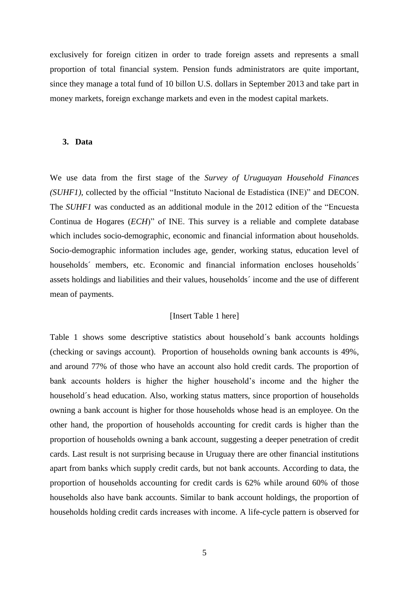exclusively for foreign citizen in order to trade foreign assets and represents a small proportion of total financial system. Pension funds administrators are quite important, since they manage a total fund of 10 billon U.S. dollars in September 2013 and take part in money markets, foreign exchange markets and even in the modest capital markets.

#### **3. Data**

We use data from the first stage of the *Survey of Uruguayan Household Finances (SUHF1)*, collected by the official "Instituto Nacional de Estadística (INE)" and DECON. The *SUHF1* was conducted as an additional module in the 2012 edition of the "Encuesta Continua de Hogares (*ECH*)" of INE. This survey is a reliable and complete database which includes socio-demographic, economic and financial information about households. Socio-demographic information includes age, gender, working status, education level of households´ members, etc. Economic and financial information encloses households´ assets holdings and liabilities and their values, households´ income and the use of different mean of payments.

#### [Insert Table 1 here]

Table 1 shows some descriptive statistics about household´s bank accounts holdings (checking or savings account). Proportion of households owning bank accounts is 49%, and around 77% of those who have an account also hold credit cards. The proportion of bank accounts holders is higher the higher household's income and the higher the household´s head education. Also, working status matters, since proportion of households owning a bank account is higher for those households whose head is an employee. On the other hand, the proportion of households accounting for credit cards is higher than the proportion of households owning a bank account, suggesting a deeper penetration of credit cards. Last result is not surprising because in Uruguay there are other financial institutions apart from banks which supply credit cards, but not bank accounts. According to data, the proportion of households accounting for credit cards is 62% while around 60% of those households also have bank accounts. Similar to bank account holdings, the proportion of households holding credit cards increases with income. A life-cycle pattern is observed for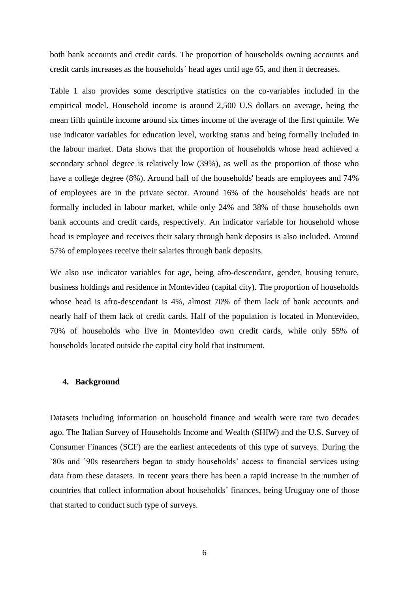both bank accounts and credit cards. The proportion of households owning accounts and credit cards increases as the households´ head ages until age 65, and then it decreases.

Table 1 also provides some descriptive statistics on the co-variables included in the empirical model. Household income is around 2,500 U.S dollars on average, being the mean fifth quintile income around six times income of the average of the first quintile. We use indicator variables for education level, working status and being formally included in the labour market. Data shows that the proportion of households whose head achieved a secondary school degree is relatively low (39%), as well as the proportion of those who have a college degree (8%). Around half of the households' heads are employees and 74% of employees are in the private sector. Around 16% of the households' heads are not formally included in labour market, while only 24% and 38% of those households own bank accounts and credit cards, respectively. An indicator variable for household whose head is employee and receives their salary through bank deposits is also included. Around 57% of employees receive their salaries through bank deposits.

We also use indicator variables for age, being afro-descendant, gender, housing tenure, business holdings and residence in Montevideo (capital city). The proportion of households whose head is afro-descendant is 4%, almost 70% of them lack of bank accounts and nearly half of them lack of credit cards. Half of the population is located in Montevideo, 70% of households who live in Montevideo own credit cards, while only 55% of households located outside the capital city hold that instrument.

### **4. Background**

Datasets including information on household finance and wealth were rare two decades ago. The Italian Survey of Households Income and Wealth (SHIW) and the U.S. Survey of Consumer Finances (SCF) are the earliest antecedents of this type of surveys. During the `80s and `90s researchers began to study households' access to financial services using data from these datasets. In recent years there has been a rapid increase in the number of countries that collect information about households´ finances, being Uruguay one of those that started to conduct such type of surveys.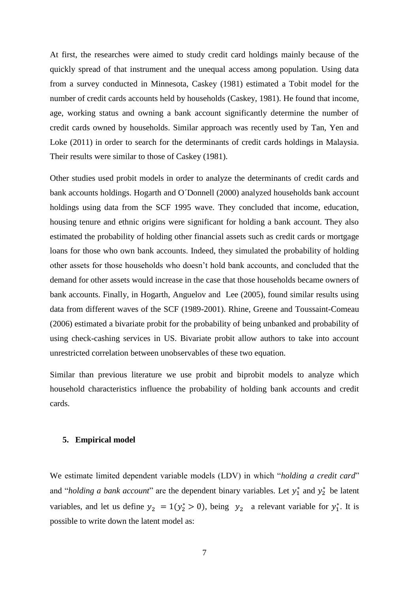At first, the researches were aimed to study credit card holdings mainly because of the quickly spread of that instrument and the unequal access among population. Using data from a survey conducted in Minnesota, Caskey (1981) estimated a Tobit model for the number of credit cards accounts held by households (Caskey, 1981). He found that income, age, working status and owning a bank account significantly determine the number of credit cards owned by households. Similar approach was recently used by Tan, Yen and Loke (2011) in order to search for the determinants of credit cards holdings in Malaysia. Their results were similar to those of Caskey (1981).

Other studies used probit models in order to analyze the determinants of credit cards and bank accounts holdings. Hogarth and O´Donnell (2000) analyzed households bank account holdings using data from the SCF 1995 wave. They concluded that income, education, housing tenure and ethnic origins were significant for holding a bank account. They also estimated the probability of holding other financial assets such as credit cards or mortgage loans for those who own bank accounts. Indeed, they simulated the probability of holding other assets for those households who doesn't hold bank accounts, and concluded that the demand for other assets would increase in the case that those households became owners of bank accounts. Finally, in Hogarth, Anguelov and Lee (2005), found similar results using data from different waves of the SCF (1989-2001). Rhine, Greene and Toussaint-Comeau (2006) estimated a bivariate probit for the probability of being unbanked and probability of using check-cashing services in US. Bivariate probit allow authors to take into account unrestricted correlation between unobservables of these two equation.

Similar than previous literature we use probit and biprobit models to analyze which household characteristics influence the probability of holding bank accounts and credit cards.

#### **5. Empirical model**

We estimate limited dependent variable models (LDV) in which "*holding a credit card*" and "*holding a bank account*" are the dependent binary variables. Let  $y_1^*$  and  $y_2^*$  be latent variables, and let us define  $y_2 = 1(y_2^*) > 0$ , being  $y_2$  a relevant variable for  $y_1^*$ . It is possible to write down the latent model as: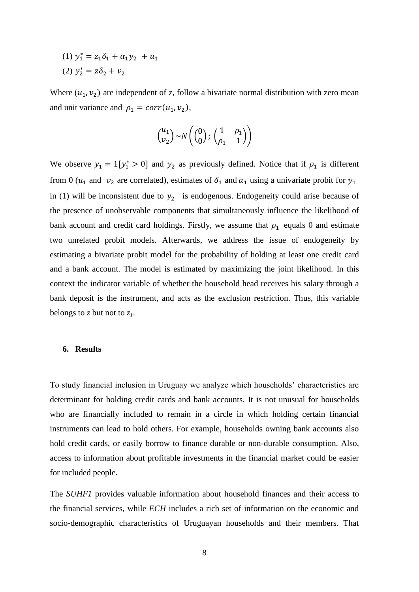$(1)$   $y_1^*$  $(2) y_2^*$ 

Where  $(u_1, v_2)$  are independent of z, follow a bivariate normal distribution with zero mean and unit variance and  $\rho_1 = corr(u_1, v_2)$ ,

$$
\binom{u_1}{v_2} \sim N\left(\binom{0}{0};\begin{pmatrix} 1 & \rho_1 \\ \rho_1 & 1 \end{pmatrix}\right)
$$

We observe  $y_1 = 1[y_1^* > 0]$  and  $y_2$  as previously defined. Notice that if  $\rho_1$  is different from 0 ( $u_1$  and  $v_2$  are correlated), estimates of  $\delta_1$  and  $\alpha_1$  using a univariate probit for  $y_1$ in (1) will be inconsistent due to  $y_2$  is endogenous. Endogeneity could arise because of the presence of unobservable components that simultaneously influence the likelihood of bank account and credit card holdings. Firstly, we assume that  $\rho_1$  equals 0 and estimate two unrelated probit models. Afterwards, we address the issue of endogeneity by estimating a bivariate probit model for the probability of holding at least one credit card and a bank account. The model is estimated by maximizing the joint likelihood. In this context the indicator variable of whether the household head receives his salary through a bank deposit is the instrument, and acts as the exclusion restriction. Thus, this variable belongs to *z* but not to *z1*.

#### **6. Results**

To study financial inclusion in Uruguay we analyze which households' characteristics are determinant for holding credit cards and bank accounts. It is not unusual for households who are financially included to remain in a circle in which holding certain financial instruments can lead to hold others. For example, households owning bank accounts also hold credit cards, or easily borrow to finance durable or non-durable consumption. Also, access to information about profitable investments in the financial market could be easier for included people.

The *SUHF1* provides valuable information about household finances and their access to the financial services, while *ECH* includes a rich set of information on the economic and socio-demographic characteristics of Uruguayan households and their members. That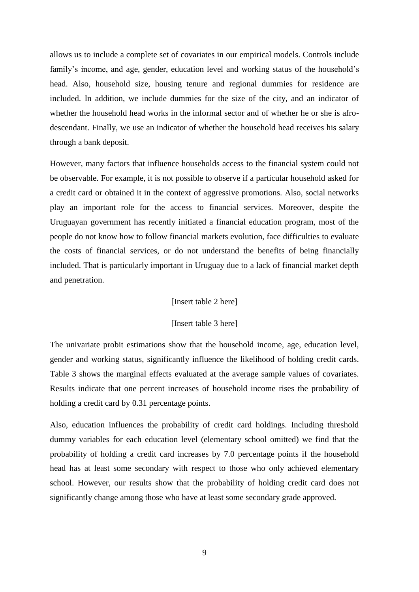allows us to include a complete set of covariates in our empirical models. Controls include family's income, and age, gender, education level and working status of the household's head. Also, household size, housing tenure and regional dummies for residence are included. In addition, we include dummies for the size of the city, and an indicator of whether the household head works in the informal sector and of whether he or she is afrodescendant. Finally, we use an indicator of whether the household head receives his salary through a bank deposit.

However, many factors that influence households access to the financial system could not be observable. For example, it is not possible to observe if a particular household asked for a credit card or obtained it in the context of aggressive promotions. Also, social networks play an important role for the access to financial services. Moreover, despite the Uruguayan government has recently initiated a financial education program, most of the people do not know how to follow financial markets evolution, face difficulties to evaluate the costs of financial services, or do not understand the benefits of being financially included. That is particularly important in Uruguay due to a lack of financial market depth and penetration.

#### [Insert table 2 here]

#### [Insert table 3 here]

The univariate probit estimations show that the household income, age, education level, gender and working status, significantly influence the likelihood of holding credit cards. Table 3 shows the marginal effects evaluated at the average sample values of covariates. Results indicate that one percent increases of household income rises the probability of holding a credit card by 0.31 percentage points.

Also, education influences the probability of credit card holdings. Including threshold dummy variables for each education level (elementary school omitted) we find that the probability of holding a credit card increases by 7.0 percentage points if the household head has at least some secondary with respect to those who only achieved elementary school. However, our results show that the probability of holding credit card does not significantly change among those who have at least some secondary grade approved.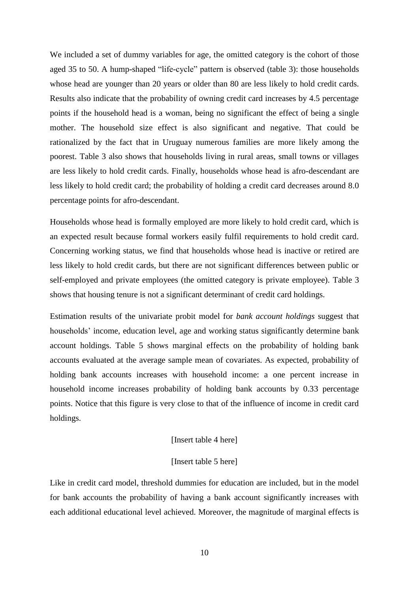We included a set of dummy variables for age, the omitted category is the cohort of those aged 35 to 50. A hump-shaped "life-cycle" pattern is observed (table 3): those households whose head are younger than 20 years or older than 80 are less likely to hold credit cards. Results also indicate that the probability of owning credit card increases by 4.5 percentage points if the household head is a woman, being no significant the effect of being a single mother. The household size effect is also significant and negative. That could be rationalized by the fact that in Uruguay numerous families are more likely among the poorest. Table 3 also shows that households living in rural areas, small towns or villages are less likely to hold credit cards. Finally, households whose head is afro-descendant are less likely to hold credit card; the probability of holding a credit card decreases around 8.0 percentage points for afro-descendant.

Households whose head is formally employed are more likely to hold credit card, which is an expected result because formal workers easily fulfil requirements to hold credit card. Concerning working status, we find that households whose head is inactive or retired are less likely to hold credit cards, but there are not significant differences between public or self-employed and private employees (the omitted category is private employee). Table 3 shows that housing tenure is not a significant determinant of credit card holdings.

Estimation results of the univariate probit model for *bank account holdings* suggest that households' income, education level, age and working status significantly determine bank account holdings. Table 5 shows marginal effects on the probability of holding bank accounts evaluated at the average sample mean of covariates. As expected, probability of holding bank accounts increases with household income: a one percent increase in household income increases probability of holding bank accounts by 0.33 percentage points. Notice that this figure is very close to that of the influence of income in credit card holdings.

#### [Insert table 4 here]

#### [Insert table 5 here]

Like in credit card model, threshold dummies for education are included, but in the model for bank accounts the probability of having a bank account significantly increases with each additional educational level achieved. Moreover, the magnitude of marginal effects is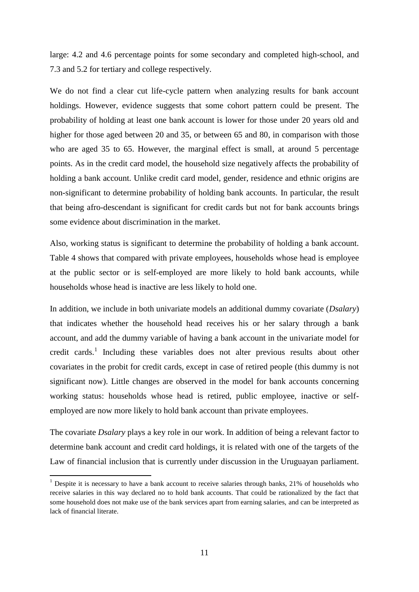large: 4.2 and 4.6 percentage points for some secondary and completed high-school, and 7.3 and 5.2 for tertiary and college respectively.

We do not find a clear cut life-cycle pattern when analyzing results for bank account holdings. However, evidence suggests that some cohort pattern could be present. The probability of holding at least one bank account is lower for those under 20 years old and higher for those aged between 20 and 35, or between 65 and 80, in comparison with those who are aged 35 to 65. However, the marginal effect is small, at around 5 percentage points. As in the credit card model, the household size negatively affects the probability of holding a bank account. Unlike credit card model, gender, residence and ethnic origins are non-significant to determine probability of holding bank accounts. In particular, the result that being afro-descendant is significant for credit cards but not for bank accounts brings some evidence about discrimination in the market.

Also, working status is significant to determine the probability of holding a bank account. Table 4 shows that compared with private employees, households whose head is employee at the public sector or is self-employed are more likely to hold bank accounts, while households whose head is inactive are less likely to hold one.

In addition, we include in both univariate models an additional dummy covariate (*Dsalary*) that indicates whether the household head receives his or her salary through a bank account, and add the dummy variable of having a bank account in the univariate model for credit cards.<sup>1</sup> Including these variables does not alter previous results about other covariates in the probit for credit cards, except in case of retired people (this dummy is not significant now). Little changes are observed in the model for bank accounts concerning working status: households whose head is retired, public employee, inactive or selfemployed are now more likely to hold bank account than private employees.

The covariate *Dsalary* plays a key role in our work. In addition of being a relevant factor to determine bank account and credit card holdings, it is related with one of the targets of the Law of financial inclusion that is currently under discussion in the Uruguayan parliament.

 $\overline{\phantom{a}}$ 

<sup>&</sup>lt;sup>1</sup> Despite it is necessary to have a bank account to receive salaries through banks, 21% of households who receive salaries in this way declared no to hold bank accounts. That could be rationalized by the fact that some household does not make use of the bank services apart from earning salaries, and can be interpreted as lack of financial literate.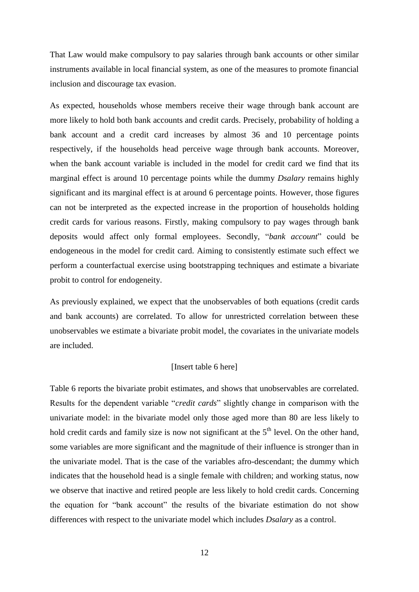That Law would make compulsory to pay salaries through bank accounts or other similar instruments available in local financial system, as one of the measures to promote financial inclusion and discourage tax evasion.

As expected, households whose members receive their wage through bank account are more likely to hold both bank accounts and credit cards. Precisely, probability of holding a bank account and a credit card increases by almost 36 and 10 percentage points respectively, if the households head perceive wage through bank accounts. Moreover, when the bank account variable is included in the model for credit card we find that its marginal effect is around 10 percentage points while the dummy *Dsalary* remains highly significant and its marginal effect is at around 6 percentage points. However, those figures can not be interpreted as the expected increase in the proportion of households holding credit cards for various reasons. Firstly, making compulsory to pay wages through bank deposits would affect only formal employees. Secondly, "*bank account*" could be endogeneous in the model for credit card. Aiming to consistently estimate such effect we perform a counterfactual exercise using bootstrapping techniques and estimate a bivariate probit to control for endogeneity.

As previously explained, we expect that the unobservables of both equations (credit cards and bank accounts) are correlated. To allow for unrestricted correlation between these unobservables we estimate a bivariate probit model, the covariates in the univariate models are included.

#### [Insert table 6 here]

Table 6 reports the bivariate probit estimates, and shows that unobservables are correlated. Results for the dependent variable "*credit cards*" slightly change in comparison with the univariate model: in the bivariate model only those aged more than 80 are less likely to hold credit cards and family size is now not significant at the  $5<sup>th</sup>$  level. On the other hand, some variables are more significant and the magnitude of their influence is stronger than in the univariate model. That is the case of the variables afro-descendant; the dummy which indicates that the household head is a single female with children; and working status, now we observe that inactive and retired people are less likely to hold credit cards. Concerning the equation for "bank account" the results of the bivariate estimation do not show differences with respect to the univariate model which includes *Dsalary* as a control.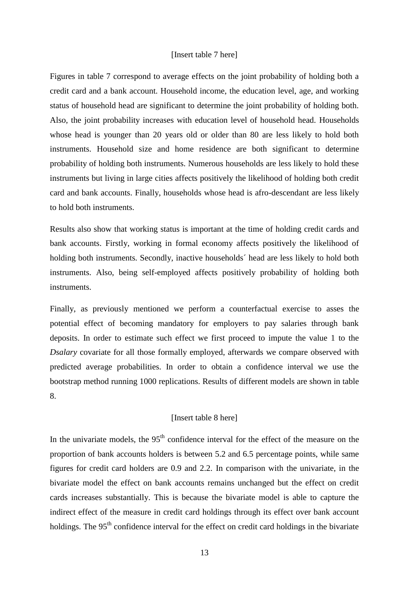#### [Insert table 7 here]

Figures in table 7 correspond to average effects on the joint probability of holding both a credit card and a bank account. Household income, the education level, age, and working status of household head are significant to determine the joint probability of holding both. Also, the joint probability increases with education level of household head. Households whose head is younger than 20 years old or older than 80 are less likely to hold both instruments. Household size and home residence are both significant to determine probability of holding both instruments. Numerous households are less likely to hold these instruments but living in large cities affects positively the likelihood of holding both credit card and bank accounts. Finally, households whose head is afro-descendant are less likely to hold both instruments.

Results also show that working status is important at the time of holding credit cards and bank accounts. Firstly, working in formal economy affects positively the likelihood of holding both instruments. Secondly, inactive households´ head are less likely to hold both instruments. Also, being self-employed affects positively probability of holding both instruments.

Finally, as previously mentioned we perform a counterfactual exercise to asses the potential effect of becoming mandatory for employers to pay salaries through bank deposits. In order to estimate such effect we first proceed to impute the value 1 to the *Dsalary* covariate for all those formally employed, afterwards we compare observed with predicted average probabilities. In order to obtain a confidence interval we use the bootstrap method running 1000 replications. Results of different models are shown in table 8.

#### [Insert table 8 here]

In the univariate models, the  $95<sup>th</sup>$  confidence interval for the effect of the measure on the proportion of bank accounts holders is between 5.2 and 6.5 percentage points, while same figures for credit card holders are 0.9 and 2.2. In comparison with the univariate, in the bivariate model the effect on bank accounts remains unchanged but the effect on credit cards increases substantially. This is because the bivariate model is able to capture the indirect effect of the measure in credit card holdings through its effect over bank account holdings. The 95<sup>th</sup> confidence interval for the effect on credit card holdings in the bivariate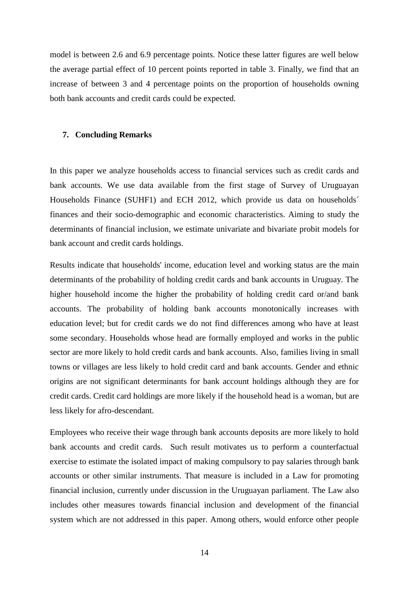model is between 2.6 and 6.9 percentage points. Notice these latter figures are well below the average partial effect of 10 percent points reported in table 3. Finally, we find that an increase of between 3 and 4 percentage points on the proportion of households owning both bank accounts and credit cards could be expected.

#### **7. Concluding Remarks**

In this paper we analyze households access to financial services such as credit cards and bank accounts. We use data available from the first stage of Survey of Uruguayan Households Finance (SUHF1) and ECH 2012, which provide us data on households´ finances and their socio-demographic and economic characteristics. Aiming to study the determinants of financial inclusion, we estimate univariate and bivariate probit models for bank account and credit cards holdings.

Results indicate that households' income, education level and working status are the main determinants of the probability of holding credit cards and bank accounts in Uruguay. The higher household income the higher the probability of holding credit card or/and bank accounts. The probability of holding bank accounts monotonically increases with education level; but for credit cards we do not find differences among who have at least some secondary. Households whose head are formally employed and works in the public sector are more likely to hold credit cards and bank accounts. Also, families living in small towns or villages are less likely to hold credit card and bank accounts. Gender and ethnic origins are not significant determinants for bank account holdings although they are for credit cards. Credit card holdings are more likely if the household head is a woman, but are less likely for afro-descendant.

Employees who receive their wage through bank accounts deposits are more likely to hold bank accounts and credit cards. Such result motivates us to perform a counterfactual exercise to estimate the isolated impact of making compulsory to pay salaries through bank accounts or other similar instruments. That measure is included in a Law for promoting financial inclusion, currently under discussion in the Uruguayan parliament. The Law also includes other measures towards financial inclusion and development of the financial system which are not addressed in this paper. Among others, would enforce other people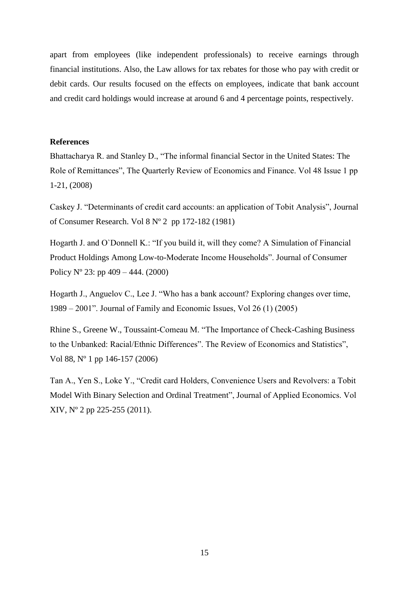apart from employees (like independent professionals) to receive earnings through financial institutions. Also, the Law allows for tax rebates for those who pay with credit or debit cards. Our results focused on the effects on employees, indicate that bank account and credit card holdings would increase at around 6 and 4 percentage points, respectively.

#### **References**

Bhattacharya R. and Stanley D., "The informal financial Sector in the United States: The Role of Remittances", The Quarterly Review of Economics and Finance. Vol 48 Issue 1 pp 1-21, (2008)

Caskey J. "Determinants of credit card accounts: an application of Tobit Analysis", Journal of Consumer Research. Vol 8 Nº 2 pp 172-182 (1981)

Hogarth J. and O`Donnell K.: "If you build it, will they come? A Simulation of Financial Product Holdings Among Low-to-Moderate Income Households". Journal of Consumer Policy  $N^{\circ}$  23: pp 409 – 444. (2000)

Hogarth J., Anguelov C., Lee J. "Who has a bank account? Exploring changes over time, 1989 – 2001". Journal of Family and Economic Issues, Vol 26 (1) (2005)

Rhine S., Greene W., Toussaint-Comeau M. "The Importance of Check-Cashing Business to the Unbanked: Racial/Ethnic Differences". The Review of Economics and Statistics", Vol 88, Nº 1 pp 146-157 (2006)

Tan A., Yen S., Loke Y., "Credit card Holders, Convenience Users and Revolvers: a Tobit Model With Binary Selection and Ordinal Treatment", Journal of Applied Economics. Vol XIV, Nº 2 pp 225-255 (2011).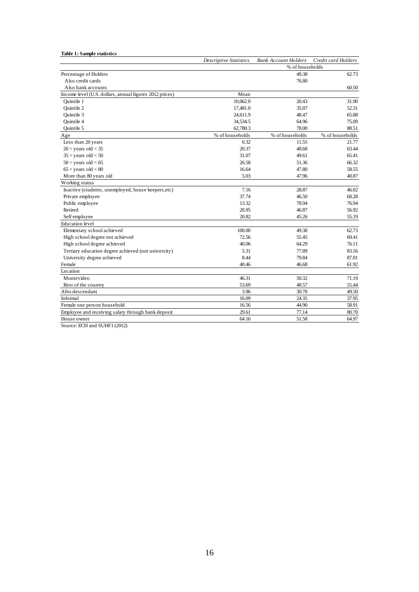**Table 1: Sample statistics**

|                                                         | <b>Descriptive Statistics</b> | <b>Bank Account Holders</b> | Credit card Holders |
|---------------------------------------------------------|-------------------------------|-----------------------------|---------------------|
|                                                         |                               | % of households             |                     |
| Percentage of Holders                                   |                               | 49.38                       | 62.73               |
| Also credit cards                                       |                               | 76.80                       |                     |
| Also bank accounts                                      |                               |                             | 60.50               |
| Income level (U.S. dollars, annual figures 2012 prices) | Mean                          |                             |                     |
| <b>Ouintile 1</b>                                       | 10,062.0                      | 20.43                       | 31.90               |
| <b>Ouintile 2</b>                                       | 17,481.0                      | 35.07                       | 52.31               |
| <b>Ouintile 3</b>                                       | 24,611.9                      | 48.47                       | 65.88               |
| <b>Ouintile 4</b>                                       | 34,534.5                      | 64.96                       | 75.09               |
| Ouintile 5                                              | 62,780.3                      | 78.00                       | 88.51               |
| Age                                                     | % of households               | % of households             | % of households     |
| Less than 20 years                                      | 0.32                          | 11.55                       | 21.77               |
| $20 <$ years old $<$ 35                                 | 20.37                         | 48.68                       | 63.44               |
| $35 <$ years old $< 50$                                 | 31.07                         | 49.61                       | 65.41               |
| $50 <$ years old $< 65$                                 | 26.58                         | 51.36                       | 66.32               |
| $65 <$ years old $< 80$                                 | 16.64                         | 47.80                       | 58.55               |
| More than 80 years old                                  | 5.03                          | 47.96                       | 40.87               |
| Working status                                          |                               |                             |                     |
| Inactive (students, unemployed, house keepers, etc)     | 7.16                          | 28.87                       | 46.02               |
| Private employee                                        | 37.74                         | 46.50                       | 68.28               |
| Public employee                                         | 13.32                         | 78.94                       | 76.94               |
| Retired                                                 | 20.95                         | 46.87                       | 56.92               |
| Self employee                                           | 20.82                         | 45.26                       | 55.19               |
| <b>Education</b> level                                  |                               |                             |                     |
| Elementary school achieved                              | 100.00                        | 49.38                       | 62.73               |
| High school degree not achieved                         | 72.56                         | 55.45                       | 69.41               |
| High school degree achieved                             | 40.06                         | 64.29                       | 76.11               |
| Tertiary education degree achieved (not university)     | 5.31                          | 77.89                       | 83.56               |
| University degree achieved                              | 8.44                          | 79.84                       | 87.01               |
| Female                                                  | 40.46                         | 46.68                       | 61.92               |
| Location                                                |                               |                             |                     |
| Montevideo                                              | 46.31                         | 50.32                       | 71.19               |
| Rest of the country                                     | 53.69                         | 48.57                       | 55.44               |
| Afro-descendant                                         | 3.96                          | 30.78                       | 49.50               |
| Informal                                                | 16.09                         | 24.35                       | 37.95               |
| Female one person household                             | 16.56                         | 44.90                       | 58.91               |
| Employee and receiving salary through bank deposit      | 29.61                         | 77.14                       | 80.70               |
| House owner                                             | 64.16                         | 51.58                       | 64.97               |

Source: ECH and SUHF1 (2012)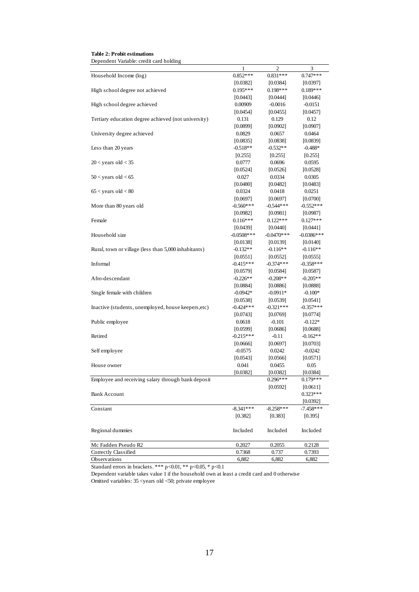**Table 2: Probit estimations**

Dependent Variable: credit card holding

|                                                      | 1            | 2             | 3            |
|------------------------------------------------------|--------------|---------------|--------------|
| Household Income (log)                               | $0.852***$   | $0.831***$    | $0.747***$   |
|                                                      | [0.0382]     | [0.0384]      | [0.0397]     |
| High school degree not achieved                      | $0.195***$   | $0.198***$    | $0.189***$   |
|                                                      | [0.0443]     | [0.0444]      | [0.0446]     |
| High school degree achieved                          | 0.00909      | $-0.0016$     | $-0.0151$    |
|                                                      | [0.0454]     | [0.0455]      | [0.0457]     |
| Tertiary education degree achieved (not university)  | 0.131        | 0.129         | 0.12         |
|                                                      | [0.0899]     | [0.0902]      | [0.0907]     |
| University degree achieved                           | 0.0829       | 0.0657        | 0.0464       |
|                                                      | [0.0835]     | $[0.0838]$    | [0.0839]     |
| Less than 20 years                                   | $-0.518**$   | $-0.532**$    | $-0.488*$    |
|                                                      | [0.255]      | [0.255]       | [0.255]      |
| $20 <$ years old $<$ 35                              | 0.0777       | 0.0696        | 0.0595       |
|                                                      | [0.0524]     | [0.0526]      | [0.0528]     |
| $50 <$ years old $< 65$                              | 0.027        | 0.0334        | 0.0305       |
|                                                      | [0.0480]     | [0.0482]      | [0.0483]     |
| $65 <$ years old $< 80$                              | 0.0324       | 0.0418        | 0.0251       |
|                                                      | [0.0697]     | [0.0697]      | [0.0700]     |
| More than 80 years old                               | $-0.560***$  | $-0.544***$   | $-0.552***$  |
|                                                      | [0.0982]     | [0.0981]      | [0.0987]     |
| Female                                               | $0.116***$   | $0.122***$    | $0.127***$   |
|                                                      | [0.0439]     | [0.0440]      | [0.0441]     |
| Household size                                       | $-0.0508***$ | $-0.0470$ *** | $-0.0386***$ |
|                                                      | [0.0138]     | [0.0139]      | [0.0140]     |
| Rural, town or village (less than 5,000 inhabitants) | $-0.132**$   | $-0.116**$    | $-0.116**$   |
|                                                      | [0.0551]     | [0.0552]      | [0.0555]     |
| Informal                                             | $-0.415***$  | $-0.374***$   | $-0.358***$  |
|                                                      | [0.0579]     | [0.0584]      | [0.0587]     |
| Afro-descendant                                      | $-0.226**$   | $-0.208**$    | $-0.205**$   |
|                                                      | [0.0884]     | [0.0886]      | [0.0888]     |
| Single female with children                          | $-0.0942*$   | $-0.0911*$    | $-0.100*$    |
|                                                      | [0.0538]     | [0.0539]      | [0.0541]     |
| Inactive (students, unemployed, house keepers, etc)  | $-0.424***$  | $-0.321***$   | $-0.357***$  |
|                                                      | [0.0743]     | [0.0769]      | [0.0774]     |
| Public employee                                      | 0.0618       | $-0.101$      | $-0.122*$    |
|                                                      | [0.0599]     | [0.0686]      | [0.0688]     |
| Retired                                              | $-0.215***$  | $-0.11$       | $-0.162**$   |
|                                                      | [0.0666]     | [0.0697]      | [0.0703]     |
| Self employee                                        | $-0.0575$    | 0.0242        | $-0.0242$    |
|                                                      | [0.0543]     | [0.0566]      | [0.0571]     |
| House owner                                          | 0.041        | 0.0455        | 0.05         |
|                                                      | [0.0382]     | [0.0382]      | [0.0384]     |
| Employee and receiving salary through bank deposit   |              | $0.296***$    | $0.179***$   |
|                                                      |              | [0.0592]      | [0.0611]     |
| <b>Bank Account</b>                                  |              |               | $0.323***$   |
|                                                      |              |               | [0.0392]     |
| Constant                                             | $-8.341***$  | $-8.258***$   | $-7.458***$  |
|                                                      | [0.382]      | [0.383]       | [0.395]      |
|                                                      |              |               |              |
| Regional dummies                                     | Included     | Included      | Included     |
|                                                      |              |               |              |
| Mc Fadden Pseudo R2                                  | 0.2027       | 0.2055        | 0.2128       |
| Correctly Classified                                 | 0.7368       | 0.737         | 0.7393       |
| Observations                                         | 6,882        | 6,882         | 6,882        |

Standard errors in brackets. \*\*\* p<0.01, \*\* p<0.05, \* p<0.1

Omitted variables: 35 <years old <50; private employee Dependent variable takes value 1 if the household own at least a credit card and 0 otherwise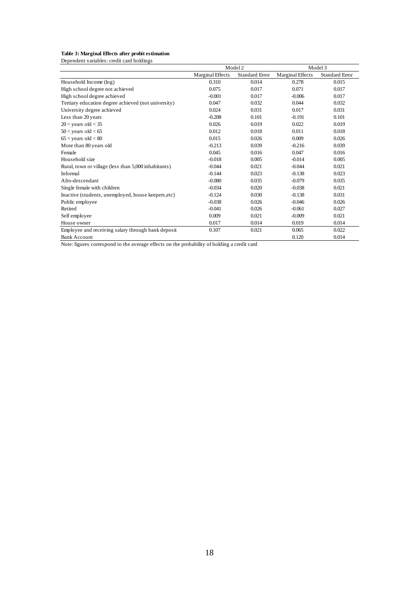#### **Table 3: Marginal Effects after probit estimation**

Dependent variables: credit card holdings

|                                                      | Model 2                 |                       | Model 3                 |                       |
|------------------------------------------------------|-------------------------|-----------------------|-------------------------|-----------------------|
|                                                      | <b>Marginal Effects</b> | <b>Standard Error</b> | <b>Marginal Effects</b> | <b>Standard Error</b> |
| Household Income (log)                               | 0.310                   | 0.014                 | 0.278                   | 0.015                 |
| High school degree not achieved                      | 0.075                   | 0.017                 | 0.071                   | 0.017                 |
| High school degree achieved                          | $-0.001$                | 0.017                 | $-0.006$                | 0.017                 |
| Tertiary education degree achieved (not university)  | 0.047                   | 0.032                 | 0.044                   | 0.032                 |
| University degree achieved                           | 0.024                   | 0.031                 | 0.017                   | 0.031                 |
| Less than 20 years                                   | $-0.208$                | 0.101                 | $-0.191$                | 0.101                 |
| $20 <$ years old $<$ 35                              | 0.026                   | 0.019                 | 0.022                   | 0.019                 |
| $50 < \text{years}$ old $< 65$                       | 0.012                   | 0.018                 | 0.011                   | 0.018                 |
| $65 <$ years old $< 80$                              | 0.015                   | 0.026                 | 0.009                   | 0.026                 |
| More than 80 years old                               | $-0.213$                | 0.039                 | $-0.216$                | 0.039                 |
| Female                                               | 0.045                   | 0.016                 | 0.047                   | 0.016                 |
| Household size                                       | $-0.018$                | 0.005                 | $-0.014$                | 0.005                 |
| Rural, town or village (less than 5,000 inhabitants) | $-0.044$                | 0.021                 | $-0.044$                | 0.021                 |
| Informal                                             | $-0.144$                | 0.023                 | $-0.138$                | 0.023                 |
| Afro-descendant                                      | $-0.080$                | 0.035                 | $-0.079$                | 0.035                 |
| Single female with children                          | $-0.034$                | 0.020                 | $-0.038$                | 0.021                 |
| Inactive (students, unemployed, house keepers, etc)  | $-0.124$                | 0.030                 | $-0.138$                | 0.031                 |
| Public employee                                      | $-0.038$                | 0.026                 | $-0.046$                | 0.026                 |
| Retired                                              | $-0.041$                | 0.026                 | $-0.061$                | 0.027                 |
| Self employee                                        | 0.009                   | 0.021                 | $-0.009$                | 0.021                 |
| House owner                                          | 0.017                   | 0.014                 | 0.019                   | 0.014                 |
| Employee and receiving salary through bank deposit   | 0.107                   | 0.021                 | 0.065                   | 0.022                 |
| <b>Bank Account</b>                                  |                         |                       | 0.120                   | 0.014                 |

Note: figures correspond to the average effects on the probability of holding a credit card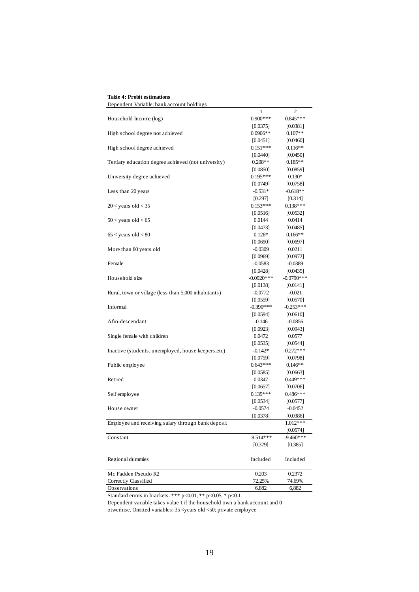|                                                      | 1             | 2            |
|------------------------------------------------------|---------------|--------------|
| Household Income (log)                               | $0.900***$    | $0.845***$   |
|                                                      | [0.0375]      | [0.0381]     |
| High school degree not achieved                      | $0.0906**$    | $0.107**$    |
|                                                      | [0.0451]      | [0.0460]     |
| High school degree achieved                          | $0.151***$    | $0.116**$    |
|                                                      | [0.0440]      | [0.0450]     |
| Tertiary education degree achieved (not university)  | $0.208**$     | $0.185**$    |
|                                                      | [0.0850]      | [0.0859]     |
| University degree achieved                           | $0.195***$    | $0.130*$     |
|                                                      | [0.0749]      | [0.0758]     |
| Less than 20 years                                   | $-0.531*$     | $-0.618**$   |
|                                                      | $[0.297]$     | [0.314]      |
| $20 <$ years old $<$ 35                              | $0.153***$    | $0.138***$   |
|                                                      | [0.0516]      | [0.0532]     |
| $50 < \text{years}$ old $< 65$                       | 0.0144        | 0.0414       |
|                                                      | [0.0473]      | [0.0485]     |
| $65 <$ years old $< 80$                              | $0.126*$      | $0.166**$    |
|                                                      | [0.0690]      | [0.0697]     |
| More than 80 years old                               | $-0.0309$     | 0.0211       |
|                                                      | [0.0969]      | [0.0972]     |
| Female                                               | $-0.0583$     | $-0.0389$    |
|                                                      | [0.0428]      | [0.0435]     |
| Household size                                       | $-0.0920$ *** | $-0.0790***$ |
|                                                      | [0.0138]      | [0.0141]     |
| Rural, town or village (less than 5,000 inhabitants) | $-0.0772$     | $-0.021$     |
|                                                      | [0.0559]      | [0.0570]     |
| Informal                                             | $-0.390***$   | $-0.253***$  |
|                                                      | [0.0594]      | $[0.0610]$   |
| Afro-descendant                                      | -0.146        | $-0.0856$    |
|                                                      | [0.0923]      | [0.0943]     |
| Single female with children                          | 0.0472        | 0.0577       |
|                                                      | [0.0535]      | [0.0544]     |
| Inactive (students, unemployed, house keepers, etc)  | $-0.142*$     | $0.272***$   |
|                                                      | [0.0759]      | [0.0798]     |
| Public employee                                      | $0.643***$    | $0.146**$    |
|                                                      | [0.0585]      | [0.0663]     |
| Retired                                              | 0.0347        | $0.449***$   |
|                                                      | [0.0657]      | [0.0706]     |
| Self employee                                        | $0.139***$    | 0.486***     |
|                                                      | [0.0534]      | [0.0577]     |
| House owner                                          | $-0.0574$     | $-0.0452$    |
|                                                      | [0.0378]      | [0.0386]     |
| Employee and receiving salary through bank deposit   |               | $1.012***$   |
|                                                      |               | [0.0574]     |
| Constant                                             | $-9.514***$   | $-9.460***$  |
|                                                      | [0.379]       | [0.385]      |
|                                                      |               |              |
| Regional dummies                                     | Included      | Included     |
|                                                      |               |              |
| Mc Fadden Pseudo R2                                  | 0.203         | 0.2372       |
| Correctly Classified                                 | 72.25%        | 74.69%       |
| Observations                                         | 6,882         | 6,882        |

**Table 4: Probit estimations**

Dependent Variable: bank account holdings

Standard errors in brackets. \*\*\* p<0.01, \*\* p<0.05, \* p<0.1

Dependent variable takes value 1 if the household own a bank account and 0 otwerhise. Omitted variables: 35 <years old <50; private employee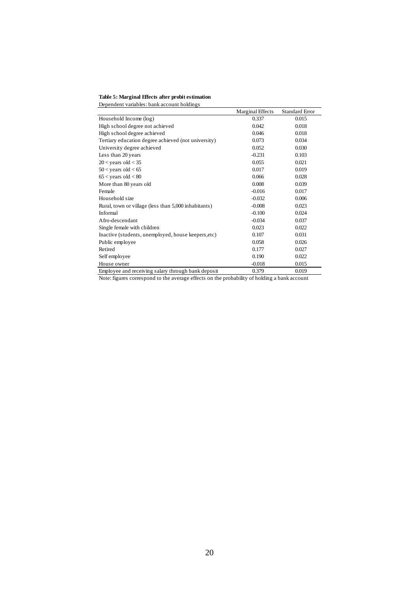**Table 5: Marginal Effects after probit estimation** Dependent variables: bank account holdings

|                                                      | Marginal Effects | Standard Error |
|------------------------------------------------------|------------------|----------------|
| Household Income (log)                               | 0.337            | 0.015          |
| High school degree not achieved                      | 0.042            | 0.018          |
| High school degree achieved                          | 0.046            | 0.018          |
| Tertiary education degree achieved (not university)  | 0.073            | 0.034          |
| University degree achieved                           | 0.052            | 0.030          |
| Less than 20 years                                   | $-0.231$         | 0.103          |
| $20 <$ years old $<$ 35                              | 0.055            | 0.021          |
| $50 <$ years old $< 65$                              | 0.017            | 0.019          |
| $65 <$ years old $< 80$                              | 0.066            | 0.028          |
| More than 80 years old                               | 0.008            | 0.039          |
| Female                                               | $-0.016$         | 0.017          |
| Household size                                       | $-0.032$         | 0.006          |
| Rural, town or village (less than 5,000 inhabitants) | $-0.008$         | 0.023          |
| Informal                                             | $-0.100$         | 0.024          |
| Afro-descendant                                      | $-0.034$         | 0.037          |
| Single female with children                          | 0.023            | 0.022          |
| Inactive (students, unemployed, house keepers, etc)  | 0.107            | 0.031          |
| Public employee                                      | 0.058            | 0.026          |
| Retired                                              | 0.177            | 0.027          |
| Self employee                                        | 0.190            | 0.022          |
| House owner                                          | $-0.018$         | 0.015          |
| Employee and receiving salary through bank deposit   | 0.379            | 0.019          |

Note: figures correspond to the average effects on the probability of holding a bank account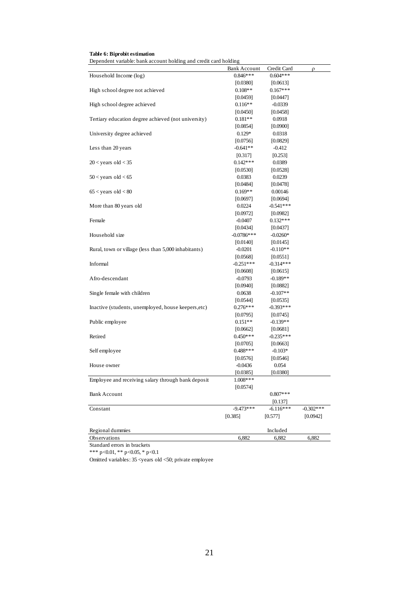| Table 6: Biprobit estimation |  |
|------------------------------|--|
|------------------------------|--|

Dependent variable: bank account holding and credit card holding

|                                                      | Bank Account | Credit Card | ρ           |
|------------------------------------------------------|--------------|-------------|-------------|
| Household Income (log)                               | $0.846***$   | $0.604***$  |             |
|                                                      | [0.0380]     | [0.0613]    |             |
| High school degree not achieved                      | $0.108**$    | $0.167***$  |             |
|                                                      | [0.0459]     | [0.0447]    |             |
| High school degree achieved                          | $0.116**$    | $-0.0339$   |             |
|                                                      | $[0.0450]$   | $[0.0458]$  |             |
| Tertiary education degree achieved (not university)  | $0.181**$    | 0.0918      |             |
|                                                      | $[0.0854]$   | [0.0900]    |             |
| University degree achieved                           | $0.129*$     | 0.0318      |             |
|                                                      | [0.0756]     | $[0.0829]$  |             |
| Less than 20 years                                   | $-0.641**$   | $-0.412$    |             |
|                                                      | $[0.317]$    | [0.253]     |             |
| $20 <$ years old $<$ 35                              | $0.142***$   | 0.0389      |             |
|                                                      | [0.0530]     | $[0.0528]$  |             |
| $50 <$ years old $< 65$                              | 0.0383       | 0.0239      |             |
|                                                      | [0.0484]     | [0.0478]    |             |
| $65 <$ years old $< 80$                              | $0.169**$    | 0.00146     |             |
|                                                      | [0.0697]     | [0.0694]    |             |
| More than 80 years old                               | 0.0224       | $-0.541***$ |             |
|                                                      | [0.0972]     | [0.0982]    |             |
| Female                                               | $-0.0407$    | $0.132***$  |             |
|                                                      | $[0.0434]$   | [0.0437]    |             |
| Household size                                       | $-0.0786***$ | $-0.0260*$  |             |
|                                                      | [0.0140]     | [0.0145]    |             |
| Rural, town or village (less than 5,000 inhabitants) | $-0.0201$    | $-0.110**$  |             |
|                                                      | [0.0568]     | [0.0551]    |             |
| Informal                                             | $-0.251***$  | $-0.314***$ |             |
|                                                      | $[0.0608]$   | [0.0615]    |             |
| Afro-descendant                                      | $-0.0793$    | $-0.189**$  |             |
|                                                      | [0.0940]     | [0.0882]    |             |
| Single female with children                          | 0.0638       | $-0.107**$  |             |
|                                                      | [0.0544]     | [0.0535]    |             |
| Inactive (students, unemployed, house keepers, etc)  | $0.276***$   | $-0.393***$ |             |
|                                                      | [0.0795]     | [0.0745]    |             |
| Public employee                                      | $0.151**$    | $-0.139**$  |             |
|                                                      | [0.0662]     | [0.0681]    |             |
| Retired                                              | $0.450***$   | $-0.235***$ |             |
|                                                      | [0.0705]     | [0.0663]    |             |
| Self employee                                        | $0.488***$   | $-0.103*$   |             |
|                                                      | [0.0576]     | [0.0546]    |             |
| House owner                                          | $-0.0436$    | 0.054       |             |
|                                                      | [0.0385]     | [0.0380]    |             |
| Employee and receiving salary through bank deposit   | 1.008***     |             |             |
|                                                      | [0.0574]     |             |             |
| <b>Bank Account</b>                                  |              | $0.807***$  |             |
|                                                      |              | [0.137]     |             |
| Constant                                             | $-9.473***$  | $-6.116***$ | $-0.302***$ |
|                                                      | [0.385]      | [0.577]     | [0.0942]    |
|                                                      |              |             |             |
| Regional dummies                                     |              | Included    |             |
| Observations                                         | 6,882        | 6,882       | 6,882       |
| Standard errors in brackets                          |              |             |             |

\*\*\* p<0.01, \*\* p<0.05, \* p<0.1

Omitted variables: 35 <years old <50; private employee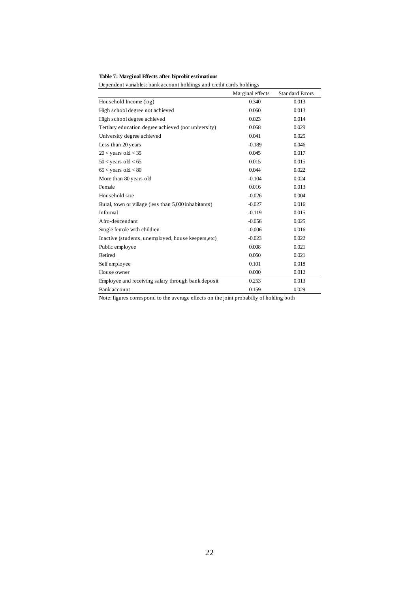#### **Table 7: Marginal Effects after biprobit estimations**

Dependent variables: bank account holdings and credit cards holdings

|                                                      | Marginal effects | <b>Standard Errors</b> |
|------------------------------------------------------|------------------|------------------------|
| Household Income (log)                               | 0.340            | 0.013                  |
| High school degree not achieved                      | 0.060            | 0.013                  |
| High school degree achieved                          | 0.023            | 0.014                  |
| Tertiary education degree achieved (not university)  | 0.068            | 0.029                  |
| University degree achieved                           | 0.041            | 0.025                  |
| Less than 20 years                                   | $-0.189$         | 0.046                  |
| $20 <$ years old $<$ 35                              | 0.045            | 0.017                  |
| $50 <$ years old $< 65$                              | 0.015            | 0.015                  |
| $65 <$ years old $< 80$                              | 0.044            | 0.022                  |
| More than 80 years old                               | $-0.104$         | 0.024                  |
| Female                                               | 0.016            | 0.013                  |
| Household size                                       | $-0.026$         | 0.004                  |
| Rural, town or village (less than 5,000 inhabitants) | $-0.027$         | 0.016                  |
| Informal                                             | $-0.119$         | 0.015                  |
| Afro-descendant                                      | $-0.056$         | 0.025                  |
| Single female with children                          | $-0.006$         | 0.016                  |
| Inactive (students, unemployed, house keepers, etc)  | $-0.023$         | 0.022                  |
| Public employee                                      | 0.008            | 0.021                  |
| Retired                                              | 0.060            | 0.021                  |
| Self employee                                        | 0.101            | 0.018                  |
| House owner                                          | 0.000            | 0.012                  |
| Employee and receiving salary through bank deposit   | 0.253            | 0.013                  |
| Bank account                                         | 0.159            | 0.029                  |

Note: figures correspond to the average effects on the joint probabilty of holding both